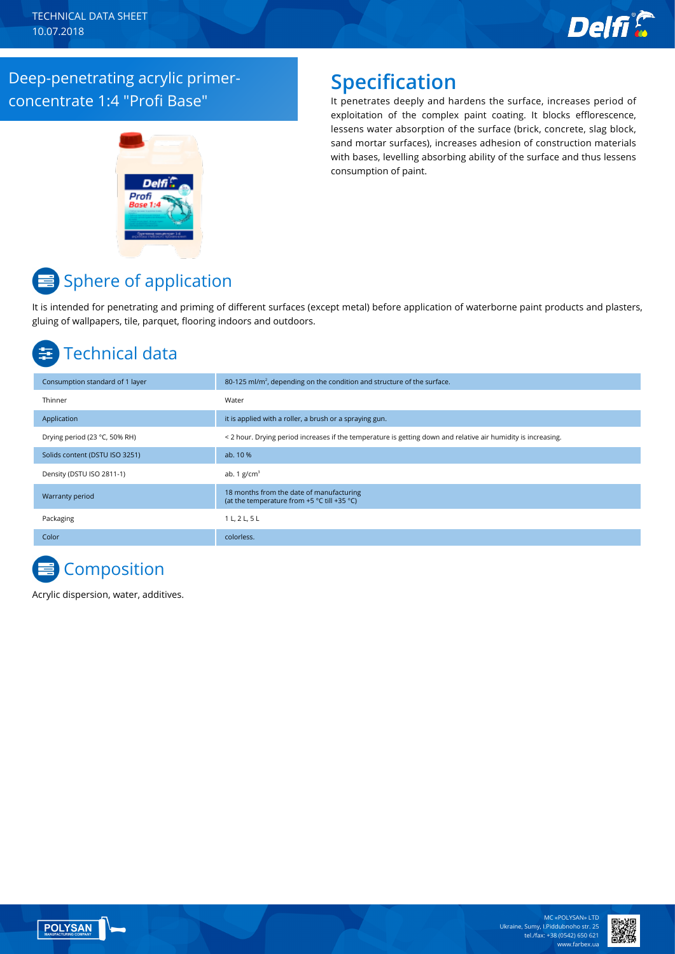

#### Deep-penetrating acrylic primerconcentrate 1:4 "Profi Base"



### **Specification**

It penetrates deeply and hardens the surface, increases period of exploitation of the complex paint coating. It blocks efflorescence, lessens water absorption of the surface (brick, concrete, slag block, sand mortar surfaces), increases adhesion of construction materials with bases, levelling absorbing ability of the surface and thus lessens consumption of paint.

## **■** Sphere of application

It is intended for penetrating and priming of different surfaces (except metal) before application of waterborne paint products and plasters, gluing of wallpapers, tile, parquet, flooring indoors and outdoors.

## Technical data

| Consumption standard of 1 layer | 80-125 ml/m <sup>2</sup> , depending on the condition and structure of the surface.                           |  |
|---------------------------------|---------------------------------------------------------------------------------------------------------------|--|
| Thinner                         | Water                                                                                                         |  |
| Application                     | it is applied with a roller, a brush or a spraying gun.                                                       |  |
| Drying period (23 °C, 50% RH)   | < 2 hour. Drying period increases if the temperature is getting down and relative air humidity is increasing. |  |
| Solids content (DSTU ISO 3251)  | ab. 10 %                                                                                                      |  |
| Density (DSTU ISO 2811-1)       | ab. 1 $g/cm3$                                                                                                 |  |
| Warranty period                 | 18 months from the date of manufacturing<br>(at the temperature from +5 °C till +35 °C)                       |  |
| Packaging                       | 1 L, 2 L, 5 L                                                                                                 |  |
| Color                           | colorless.                                                                                                    |  |

# **Composition**

Acrylic dispersion, water, additives.